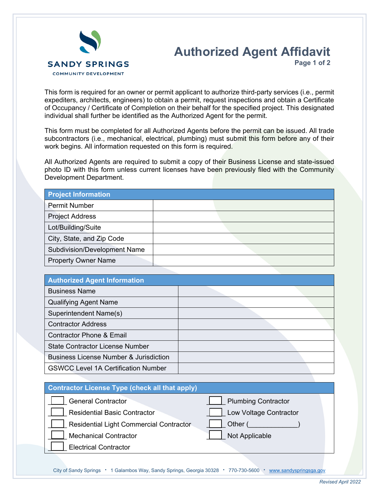

## **Authorized Agent Affidavit Page 1 of 2**

This form is required for an owner or permit applicant to authorize third-party services (i.e., permit expediters, architects, engineers) to obtain a permit, request inspections and obtain a Certificate of Occupancy / Certificate of Completion on their behalf for the specified project. This designated individual shall further be identified as the Authorized Agent for the permit.

This form must be completed for all Authorized Agents before the permit can be issued. All trade subcontractors (i.e., mechanical, electrical, plumbing) must submit this form before any of their work begins. All information requested on this form is required.

All Authorized Agents are required to submit a copy of their Business License and state-issued photo ID with this form unless current licenses have been previously filed with the Community Development Department.

| <b>Project Information</b>          |  |
|-------------------------------------|--|
| <b>Permit Number</b>                |  |
| <b>Project Address</b>              |  |
| Lot/Building/Suite                  |  |
| City, State, and Zip Code           |  |
| <b>Subdivision/Development Name</b> |  |
| <b>Property Owner Name</b>          |  |

| <b>Authorized Agent Information</b>               |  |  |
|---------------------------------------------------|--|--|
| <b>Business Name</b>                              |  |  |
| <b>Qualifying Agent Name</b>                      |  |  |
| Superintendent Name(s)                            |  |  |
| <b>Contractor Address</b>                         |  |  |
| <b>Contractor Phone &amp; Email</b>               |  |  |
| <b>State Contractor License Number</b>            |  |  |
| <b>Business License Number &amp; Jurisdiction</b> |  |  |
| <b>GSWCC Level 1A Certification Number</b>        |  |  |

| <b>Contractor License Type (check all that apply)</b> |                            |  |  |
|-------------------------------------------------------|----------------------------|--|--|
| <b>General Contractor</b>                             | <b>Plumbing Contractor</b> |  |  |
| <b>Residential Basic Contractor</b>                   | Low Voltage Contractor     |  |  |
| <b>Residential Light Commercial Contractor</b>        | Other (                    |  |  |
| <b>Mechanical Contractor</b>                          | Not Applicable             |  |  |
| <b>Electrical Contractor</b>                          |                            |  |  |
|                                                       |                            |  |  |